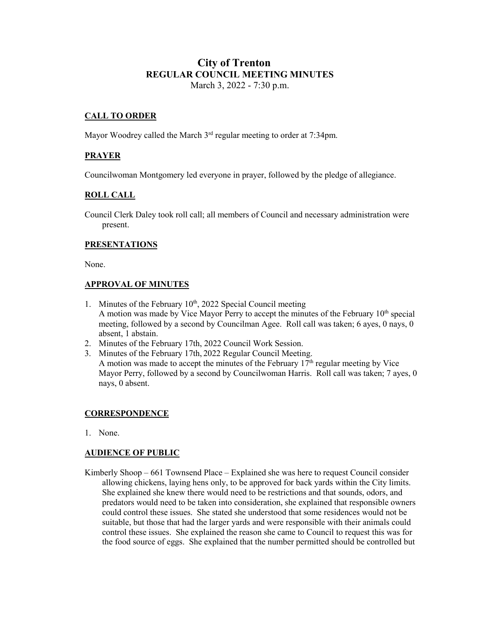# **City of Trenton REGULAR COUNCIL MEETING MINUTES** March 3, 2022 - 7:30 p.m.

## **CALL TO ORDER**

Mayor Woodrey called the March 3<sup>rd</sup> regular meeting to order at 7:34pm.

## **PRAYER**

Councilwoman Montgomery led everyone in prayer, followed by the pledge of allegiance.

### **ROLL CALL**

Council Clerk Daley took roll call; all members of Council and necessary administration were present.

### **PRESENTATIONS**

None.

### **APPROVAL OF MINUTES**

- 1. Minutes of the February  $10<sup>th</sup>$ , 2022 Special Council meeting A motion was made by Vice Mayor Perry to accept the minutes of the February  $10<sup>th</sup>$  special meeting, followed by a second by Councilman Agee. Roll call was taken; 6 ayes, 0 nays, 0 absent, 1 abstain.
- 2. Minutes of the February 17th, 2022 Council Work Session.
- 3. Minutes of the February 17th, 2022 Regular Council Meeting. A motion was made to accept the minutes of the February  $17<sup>th</sup>$  regular meeting by Vice Mayor Perry, followed by a second by Councilwoman Harris. Roll call was taken; 7 ayes, 0 nays, 0 absent.

### **CORRESPONDENCE**

1. None.

### **AUDIENCE OF PUBLIC**

Kimberly Shoop – 661 Townsend Place – Explained she was here to request Council consider allowing chickens, laying hens only, to be approved for back yards within the City limits. She explained she knew there would need to be restrictions and that sounds, odors, and predators would need to be taken into consideration, she explained that responsible owners could control these issues. She stated she understood that some residences would not be suitable, but those that had the larger yards and were responsible with their animals could control these issues. She explained the reason she came to Council to request this was for the food source of eggs. She explained that the number permitted should be controlled but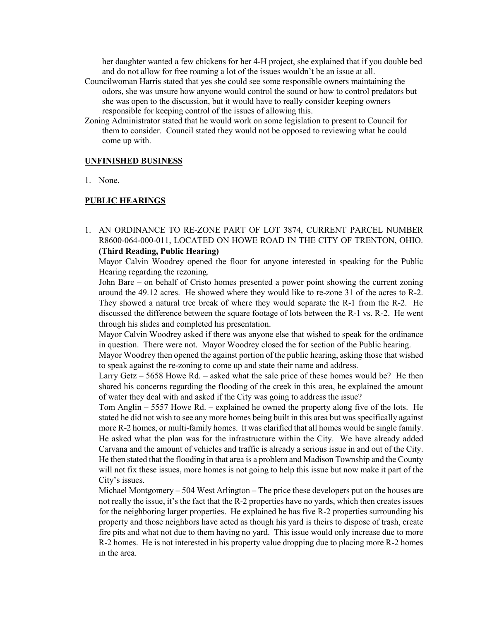her daughter wanted a few chickens for her 4-H project, she explained that if you double bed and do not allow for free roaming a lot of the issues wouldn't be an issue at all.

- Councilwoman Harris stated that yes she could see some responsible owners maintaining the odors, she was unsure how anyone would control the sound or how to control predators but she was open to the discussion, but it would have to really consider keeping owners responsible for keeping control of the issues of allowing this.
- Zoning Administrator stated that he would work on some legislation to present to Council for them to consider. Council stated they would not be opposed to reviewing what he could come up with.

#### **UNFINISHED BUSINESS**

1. None.

#### **PUBLIC HEARINGS**

1. AN ORDINANCE TO RE-ZONE PART OF LOT 3874, CURRENT PARCEL NUMBER R8600-064-000-011, LOCATED ON HOWE ROAD IN THE CITY OF TRENTON, OHIO. **(Third Reading, Public Hearing)**

Mayor Calvin Woodrey opened the floor for anyone interested in speaking for the Public Hearing regarding the rezoning.

John Bare – on behalf of Cristo homes presented a power point showing the current zoning around the 49.12 acres. He showed where they would like to re-zone 31 of the acres to R-2. They showed a natural tree break of where they would separate the R-1 from the R-2. He discussed the difference between the square footage of lots between the R-1 vs. R-2. He went through his slides and completed his presentation.

Mayor Calvin Woodrey asked if there was anyone else that wished to speak for the ordinance in question. There were not. Mayor Woodrey closed the for section of the Public hearing.

Mayor Woodrey then opened the against portion of the public hearing, asking those that wished to speak against the re-zoning to come up and state their name and address.

Larry Getz – 5658 Howe Rd. – asked what the sale price of these homes would be? He then shared his concerns regarding the flooding of the creek in this area, he explained the amount of water they deal with and asked if the City was going to address the issue?

Tom Anglin – 5557 Howe Rd. – explained he owned the property along five of the lots. He stated he did not wish to see any more homes being built in this area but was specifically against more R-2 homes, or multi-family homes. It was clarified that all homes would be single family. He asked what the plan was for the infrastructure within the City. We have already added Carvana and the amount of vehicles and traffic is already a serious issue in and out of the City. He then stated that the flooding in that area is a problem and Madison Township and the County will not fix these issues, more homes is not going to help this issue but now make it part of the City's issues.

Michael Montgomery – 504 West Arlington – The price these developers put on the houses are not really the issue, it's the fact that the R-2 properties have no yards, which then creates issues for the neighboring larger properties. He explained he has five R-2 properties surrounding his property and those neighbors have acted as though his yard is theirs to dispose of trash, create fire pits and what not due to them having no yard. This issue would only increase due to more R-2 homes. He is not interested in his property value dropping due to placing more R-2 homes in the area.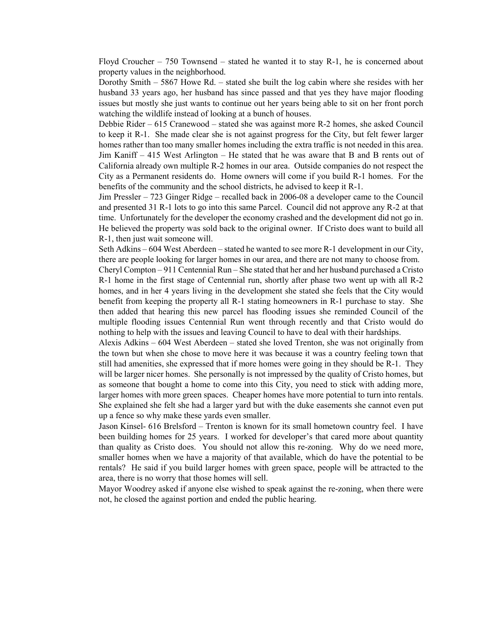Floyd Croucher  $-750$  Townsend  $-$  stated he wanted it to stay R-1, he is concerned about property values in the neighborhood.

Dorothy Smith – 5867 Howe Rd. – stated she built the log cabin where she resides with her husband 33 years ago, her husband has since passed and that yes they have major flooding issues but mostly she just wants to continue out her years being able to sit on her front porch watching the wildlife instead of looking at a bunch of houses.

Debbie Rider – 615 Cranewood – stated she was against more R-2 homes, she asked Council to keep it R-1. She made clear she is not against progress for the City, but felt fewer larger homes rather than too many smaller homes including the extra traffic is not needed in this area. Jim Kaniff – 415 West Arlington – He stated that he was aware that B and B rents out of California already own multiple R-2 homes in our area. Outside companies do not respect the City as a Permanent residents do. Home owners will come if you build R-1 homes. For the benefits of the community and the school districts, he advised to keep it R-1.

Jim Pressler – 723 Ginger Ridge – recalled back in 2006-08 a developer came to the Council and presented 31 R-1 lots to go into this same Parcel. Council did not approve any R-2 at that time. Unfortunately for the developer the economy crashed and the development did not go in. He believed the property was sold back to the original owner. If Cristo does want to build all R-1, then just wait someone will.

Seth Adkins – 604 West Aberdeen – stated he wanted to see more R-1 development in our City, there are people looking for larger homes in our area, and there are not many to choose from.

Cheryl Compton – 911 Centennial Run – She stated that her and her husband purchased a Cristo R-1 home in the first stage of Centennial run, shortly after phase two went up with all R-2 homes, and in her 4 years living in the development she stated she feels that the City would benefit from keeping the property all R-1 stating homeowners in R-1 purchase to stay. She then added that hearing this new parcel has flooding issues she reminded Council of the multiple flooding issues Centennial Run went through recently and that Cristo would do nothing to help with the issues and leaving Council to have to deal with their hardships.

Alexis Adkins – 604 West Aberdeen – stated she loved Trenton, she was not originally from the town but when she chose to move here it was because it was a country feeling town that still had amenities, she expressed that if more homes were going in they should be R-1. They will be larger nicer homes. She personally is not impressed by the quality of Cristo homes, but as someone that bought a home to come into this City, you need to stick with adding more, larger homes with more green spaces. Cheaper homes have more potential to turn into rentals. She explained she felt she had a larger yard but with the duke easements she cannot even put up a fence so why make these yards even smaller.

Jason Kinsel- 616 Brelsford – Trenton is known for its small hometown country feel. I have been building homes for 25 years. I worked for developer's that cared more about quantity than quality as Cristo does. You should not allow this re-zoning. Why do we need more, smaller homes when we have a majority of that available, which do have the potential to be rentals? He said if you build larger homes with green space, people will be attracted to the area, there is no worry that those homes will sell.

Mayor Woodrey asked if anyone else wished to speak against the re-zoning, when there were not, he closed the against portion and ended the public hearing.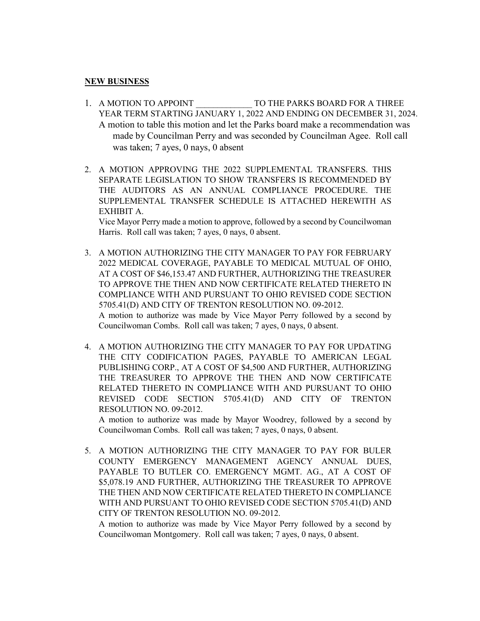### **NEW BUSINESS**

- 1. A MOTION TO APPOINT TO THE PARKS BOARD FOR A THREE YEAR TERM STARTING JANUARY 1, 2022 AND ENDING ON DECEMBER 31, 2024. A motion to table this motion and let the Parks board make a recommendation was made by Councilman Perry and was seconded by Councilman Agee. Roll call was taken; 7 ayes, 0 nays, 0 absent
- 2. A MOTION APPROVING THE 2022 SUPPLEMENTAL TRANSFERS. THIS SEPARATE LEGISLATION TO SHOW TRANSFERS IS RECOMMENDED BY THE AUDITORS AS AN ANNUAL COMPLIANCE PROCEDURE. THE SUPPLEMENTAL TRANSFER SCHEDULE IS ATTACHED HEREWITH AS EXHIBIT A.

Vice Mayor Perry made a motion to approve, followed by a second by Councilwoman Harris. Roll call was taken; 7 ayes, 0 nays, 0 absent.

- 3. A MOTION AUTHORIZING THE CITY MANAGER TO PAY FOR FEBRUARY 2022 MEDICAL COVERAGE, PAYABLE TO MEDICAL MUTUAL OF OHIO, AT A COST OF \$46,153.47 AND FURTHER, AUTHORIZING THE TREASURER TO APPROVE THE THEN AND NOW CERTIFICATE RELATED THERETO IN COMPLIANCE WITH AND PURSUANT TO OHIO REVISED CODE SECTION 5705.41(D) AND CITY OF TRENTON RESOLUTION NO. 09-2012. A motion to authorize was made by Vice Mayor Perry followed by a second by Councilwoman Combs. Roll call was taken; 7 ayes, 0 nays, 0 absent.
- 4. A MOTION AUTHORIZING THE CITY MANAGER TO PAY FOR UPDATING THE CITY CODIFICATION PAGES, PAYABLE TO AMERICAN LEGAL PUBLISHING CORP., AT A COST OF \$4,500 AND FURTHER, AUTHORIZING THE TREASURER TO APPROVE THE THEN AND NOW CERTIFICATE RELATED THERETO IN COMPLIANCE WITH AND PURSUANT TO OHIO REVISED CODE SECTION 5705.41(D) AND CITY OF TRENTON RESOLUTION NO. 09-2012.

A motion to authorize was made by Mayor Woodrey, followed by a second by Councilwoman Combs. Roll call was taken; 7 ayes, 0 nays, 0 absent.

5. A MOTION AUTHORIZING THE CITY MANAGER TO PAY FOR BULER COUNTY EMERGENCY MANAGEMENT AGENCY ANNUAL DUES, PAYABLE TO BUTLER CO. EMERGENCY MGMT. AG., AT A COST OF \$5,078.19 AND FURTHER, AUTHORIZING THE TREASURER TO APPROVE THE THEN AND NOW CERTIFICATE RELATED THERETO IN COMPLIANCE WITH AND PURSUANT TO OHIO REVISED CODE SECTION 5705.41(D) AND CITY OF TRENTON RESOLUTION NO. 09-2012.

A motion to authorize was made by Vice Mayor Perry followed by a second by Councilwoman Montgomery. Roll call was taken; 7 ayes, 0 nays, 0 absent.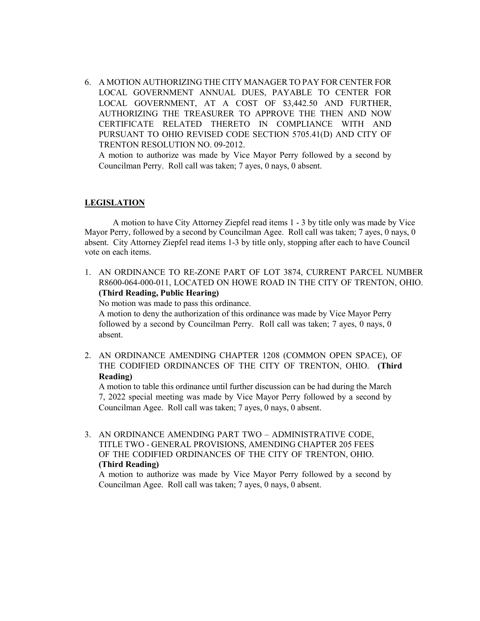6. A MOTION AUTHORIZING THE CITY MANAGER TO PAY FOR CENTER FOR LOCAL GOVERNMENT ANNUAL DUES, PAYABLE TO CENTER FOR LOCAL GOVERNMENT, AT A COST OF \$3,442.50 AND FURTHER, AUTHORIZING THE TREASURER TO APPROVE THE THEN AND NOW CERTIFICATE RELATED THERETO IN COMPLIANCE WITH AND PURSUANT TO OHIO REVISED CODE SECTION 5705.41(D) AND CITY OF TRENTON RESOLUTION NO. 09-2012.

A motion to authorize was made by Vice Mayor Perry followed by a second by Councilman Perry. Roll call was taken; 7 ayes, 0 nays, 0 absent.

#### **LEGISLATION**

A motion to have City Attorney Ziepfel read items 1 - 3 by title only was made by Vice Mayor Perry, followed by a second by Councilman Agee. Roll call was taken; 7 ayes, 0 nays, 0 absent. City Attorney Ziepfel read items 1-3 by title only, stopping after each to have Council vote on each items.

1. AN ORDINANCE TO RE-ZONE PART OF LOT 3874, CURRENT PARCEL NUMBER R8600-064-000-011, LOCATED ON HOWE ROAD IN THE CITY OF TRENTON, OHIO. **(Third Reading, Public Hearing)**

No motion was made to pass this ordinance.

A motion to deny the authorization of this ordinance was made by Vice Mayor Perry followed by a second by Councilman Perry. Roll call was taken; 7 ayes, 0 nays, 0 absent.

2. AN ORDINANCE AMENDING CHAPTER 1208 (COMMON OPEN SPACE), OF THE CODIFIED ORDINANCES OF THE CITY OF TRENTON, OHIO. **(Third Reading)**

A motion to table this ordinance until further discussion can be had during the March 7, 2022 special meeting was made by Vice Mayor Perry followed by a second by Councilman Agee. Roll call was taken; 7 ayes, 0 nays, 0 absent.

3. AN ORDINANCE AMENDING PART TWO – ADMINISTRATIVE CODE, TITLE TWO - GENERAL PROVISIONS, AMENDING CHAPTER 205 FEES OF THE CODIFIED ORDINANCES OF THE CITY OF TRENTON, OHIO. **(Third Reading)**

A motion to authorize was made by Vice Mayor Perry followed by a second by Councilman Agee. Roll call was taken; 7 ayes, 0 nays, 0 absent.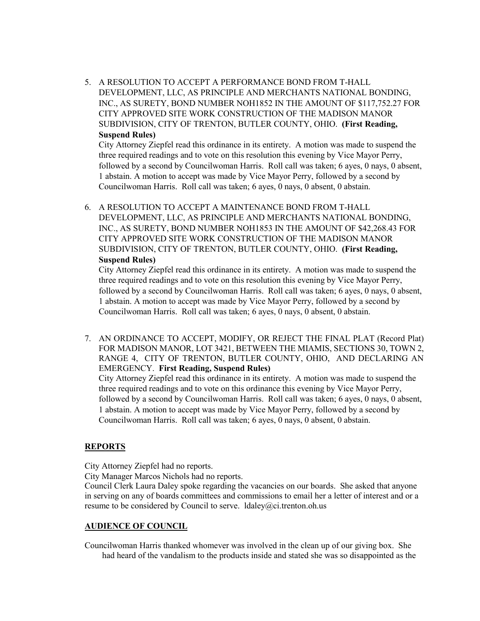5. A RESOLUTION TO ACCEPT A PERFORMANCE BOND FROM T-HALL DEVELOPMENT, LLC, AS PRINCIPLE AND MERCHANTS NATIONAL BONDING, INC., AS SURETY, BOND NUMBER NOH1852 IN THE AMOUNT OF \$117,752.27 FOR CITY APPROVED SITE WORK CONSTRUCTION OF THE MADISON MANOR SUBDIVISION, CITY OF TRENTON, BUTLER COUNTY, OHIO. **(First Reading, Suspend Rules)**

City Attorney Ziepfel read this ordinance in its entirety. A motion was made to suspend the three required readings and to vote on this resolution this evening by Vice Mayor Perry, followed by a second by Councilwoman Harris. Roll call was taken; 6 ayes, 0 nays, 0 absent, 1 abstain. A motion to accept was made by Vice Mayor Perry, followed by a second by Councilwoman Harris. Roll call was taken; 6 ayes, 0 nays, 0 absent, 0 abstain.

6. A RESOLUTION TO ACCEPT A MAINTENANCE BOND FROM T-HALL DEVELOPMENT, LLC, AS PRINCIPLE AND MERCHANTS NATIONAL BONDING, INC., AS SURETY, BOND NUMBER NOH1853 IN THE AMOUNT OF \$42,268.43 FOR CITY APPROVED SITE WORK CONSTRUCTION OF THE MADISON MANOR SUBDIVISION, CITY OF TRENTON, BUTLER COUNTY, OHIO. **(First Reading, Suspend Rules)**

City Attorney Ziepfel read this ordinance in its entirety. A motion was made to suspend the three required readings and to vote on this resolution this evening by Vice Mayor Perry, followed by a second by Councilwoman Harris. Roll call was taken; 6 ayes, 0 nays, 0 absent, 1 abstain. A motion to accept was made by Vice Mayor Perry, followed by a second by Councilwoman Harris. Roll call was taken; 6 ayes, 0 nays, 0 absent, 0 abstain.

7. AN ORDINANCE TO ACCEPT, MODIFY, OR REJECT THE FINAL PLAT (Record Plat) FOR MADISON MANOR, LOT 3421, BETWEEN THE MIAMIS, SECTIONS 30, TOWN 2, RANGE 4, CITY OF TRENTON, BUTLER COUNTY, OHIO, AND DECLARING AN EMERGENCY. **First Reading, Suspend Rules)**

City Attorney Ziepfel read this ordinance in its entirety. A motion was made to suspend the three required readings and to vote on this ordinance this evening by Vice Mayor Perry, followed by a second by Councilwoman Harris. Roll call was taken; 6 ayes, 0 nays, 0 absent, 1 abstain. A motion to accept was made by Vice Mayor Perry, followed by a second by Councilwoman Harris. Roll call was taken; 6 ayes, 0 nays, 0 absent, 0 abstain.

## **REPORTS**

City Attorney Ziepfel had no reports.

City Manager Marcos Nichols had no reports.

Council Clerk Laura Daley spoke regarding the vacancies on our boards. She asked that anyone in serving on any of boards committees and commissions to email her a letter of interest and or a resume to be considered by Council to serve. Idaley@ci.trenton.oh.us

### **AUDIENCE OF COUNCIL**

Councilwoman Harris thanked whomever was involved in the clean up of our giving box. She had heard of the vandalism to the products inside and stated she was so disappointed as the